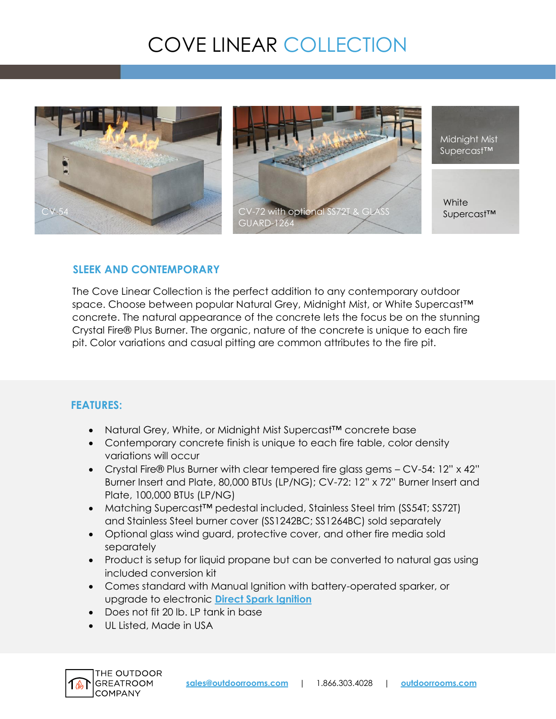# COVE LINEAR COLLECTION





Midnight Mist Supercast™

**White** 

## **SLEEK AND CONTEMPORARY**

The Cove Linear Collection is the perfect addition to any contemporary outdoor space. Choose between popular Natural Grey, Midnight Mist, or White Supercast™ concrete. The natural appearance of the concrete lets the focus be on the stunning Crystal Fire® Plus Burner. The organic, nature of the concrete is unique to each fire pit. Color variations and casual pitting are common attributes to the fire pit.

### **FEATURES:**

- Natural Grey, White, or Midnight Mist Supercast™ concrete base
- Contemporary concrete finish is unique to each fire table, color density variations will occur
- Crystal Fire® Plus Burner with clear tempered fire glass gems CV-54: 12" x 42" Burner Insert and Plate, 80,000 BTUs (LP/NG); CV-72: 12" x 72" Burner Insert and Plate, 100,000 BTUs (LP/NG)
- Matching Supercast™ pedestal included, Stainless Steel trim (SS54T; SS72T) and Stainless Steel burner cover (SS1242BC; SS1264BC) sold separately
- Optional glass wind guard, protective cover, and other fire media sold separately
- Product is setup for liquid propane but can be converted to natural gas using included conversion kit
- Comes standard with Manual Ignition with battery-operated sparker, or upgrade to electronic **[Direct Spark Ignition](https://www.outdoorrooms.com/sites/default/files/files/direct-spark-ignition-info-sheet.pdf)**
- Does not fit 20 lb. LP tank in base
- UL Listed, Made in USA